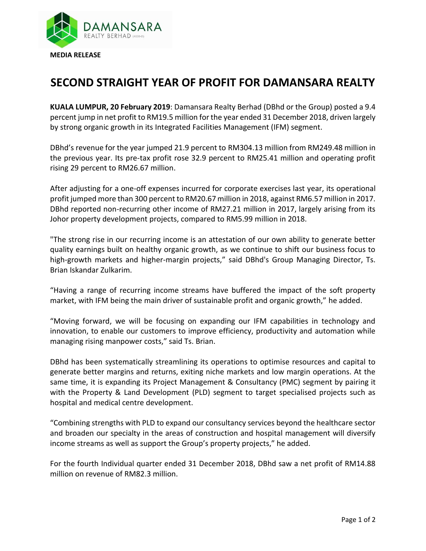

## **SECOND STRAIGHT YEAR OF PROFIT FOR DAMANSARA REALTY**

**KUALA LUMPUR, 20 February 2019**: Damansara Realty Berhad (DBhd or the Group) posted a 9.4 percent jump in net profit to RM19.5 million for the year ended 31 December 2018, driven largely by strong organic growth in its Integrated Facilities Management (IFM) segment.

DBhd's revenue for the year jumped 21.9 percent to RM304.13 million from RM249.48 million in the previous year. Its pre-tax profit rose 32.9 percent to RM25.41 million and operating profit rising 29 percent to RM26.67 million.

After adjusting for a one-off expenses incurred for corporate exercises last year, its operational profit jumped more than 300 percent to RM20.67 million in 2018, against RM6.57 million in 2017. DBhd reported non-recurring other income of RM27.21 million in 2017, largely arising from its Johor property development projects, compared to RM5.99 million in 2018.

"The strong rise in our recurring income is an attestation of our own ability to generate better quality earnings built on healthy organic growth, as we continue to shift our business focus to high-growth markets and higher-margin projects," said DBhd's Group Managing Director, Ts. Brian Iskandar Zulkarim.

"Having a range of recurring income streams have buffered the impact of the soft property market, with IFM being the main driver of sustainable profit and organic growth," he added.

"Moving forward, we will be focusing on expanding our IFM capabilities in technology and innovation, to enable our customers to improve efficiency, productivity and automation while managing rising manpower costs," said Ts. Brian.

DBhd has been systematically streamlining its operations to optimise resources and capital to generate better margins and returns, exiting niche markets and low margin operations. At the same time, it is expanding its Project Management & Consultancy (PMC) segment by pairing it with the Property & Land Development (PLD) segment to target specialised projects such as hospital and medical centre development.

"Combining strengths with PLD to expand our consultancy services beyond the healthcare sector and broaden our specialty in the areas of construction and hospital management will diversify income streams as well as support the Group's property projects," he added.

For the fourth Individual quarter ended 31 December 2018, DBhd saw a net profit of RM14.88 million on revenue of RM82.3 million.